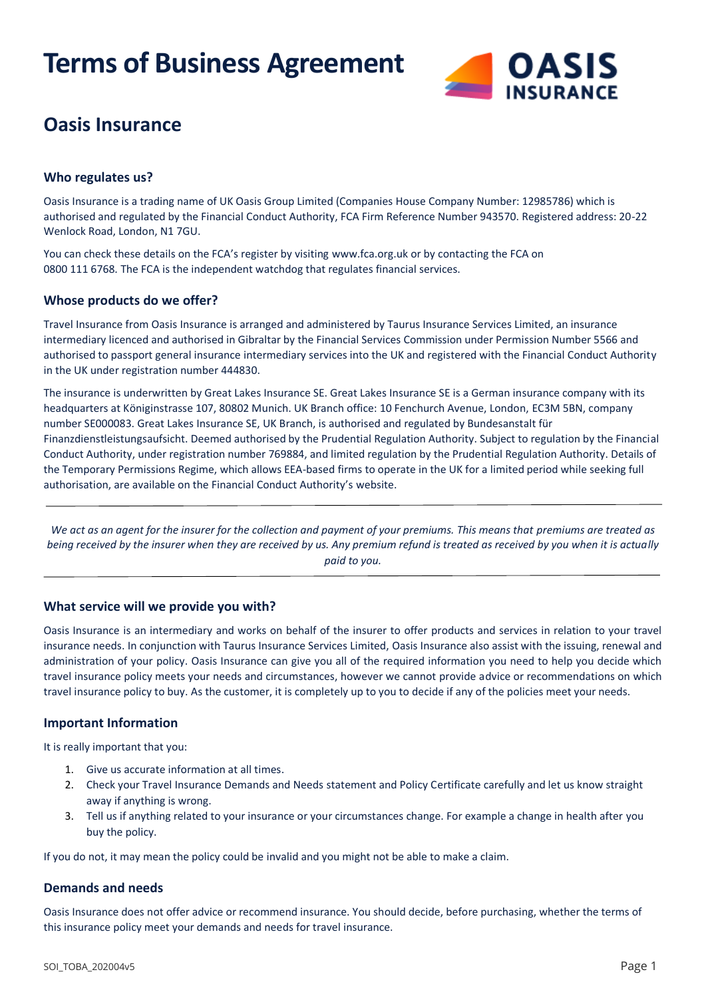# **Terms of Business Agreement**



# **Oasis Insurance**

#### **Who regulates us?**

Oasis Insurance is a trading name of UK Oasis Group Limited (Companies House Company Number: 12985786) which is authorised and regulated by the Financial Conduct Authority, FCA Firm Reference Number 943570. Registered address: 20-22 Wenlock Road, London, N1 7GU.

You can check these details on the FCA's register by visiting [www.fca.org.uk](http://www.fca.org.uk/) or by contacting the FCA on 0800 111 6768. The FCA is the independent watchdog that regulates financial services.

## **Whose products do we offer?**

Travel Insurance from Oasis Insurance is arranged and administered by Taurus Insurance Services Limited, an insurance intermediary licenced and authorised in Gibraltar by the Financial Services Commission under Permission Number 5566 and authorised to passport general insurance intermediary services into the UK and registered with the Financial Conduct Authority in the UK under registration number 444830.

The insurance is underwritten by Great Lakes Insurance SE. Great Lakes Insurance SE is a German insurance company with its headquarters at Königinstrasse 107, 80802 Munich. UK Branch office: 10 Fenchurch Avenue, London, EC3M 5BN, company number SE000083. Great Lakes Insurance SE, UK Branch, is authorised and regulated by Bundesanstalt für Finanzdienstleistungsaufsicht. Deemed authorised by the Prudential Regulation Authority. Subject to regulation by the Financial Conduct Authority, under registration number 769884, and limited regulation by the Prudential Regulation Authority. Details of the Temporary Permissions Regime, which allows EEA-based firms to operate in the UK for a limited period while seeking full authorisation, are available on the Financial Conduct Authority's [website.](https://www.fca.org.uk/)

*We act as an agent for the insurer for the collection and payment of your premiums. This means that premiums are treated as being received by the insurer when they are received by us. Any premium refund is treated as received by you when it is actually paid to you.*

#### **What service will we provide you with?**

Oasis Insurance is an intermediary and works on behalf of the insurer to offer products and services in relation to your travel insurance needs. In conjunction with Taurus Insurance Services Limited, Oasis Insurance also assist with the issuing, renewal and administration of your policy. Oasis Insurance can give you all of the required information you need to help you decide which travel insurance policy meets your needs and circumstances, however we cannot provide advice or recommendations on which travel insurance policy to buy. As the customer, it is completely up to you to decide if any of the policies meet your needs.

#### **Important Information**

It is really important that you:

- 1. Give us accurate information at all times.
- 2. Check your Travel Insurance Demands and Needs statement and Policy Certificate carefully and let us know straight away if anything is wrong.
- 3. Tell us if anything related to your insurance or your circumstances change. For example a change in health after you buy the policy.

If you do not, it may mean the policy could be invalid and you might not be able to make a claim.

#### **Demands and needs**

Oasis Insurance does not offer advice or recommend insurance. You should decide, before purchasing, whether the terms of this insurance policy meet your demands and needs for travel insurance.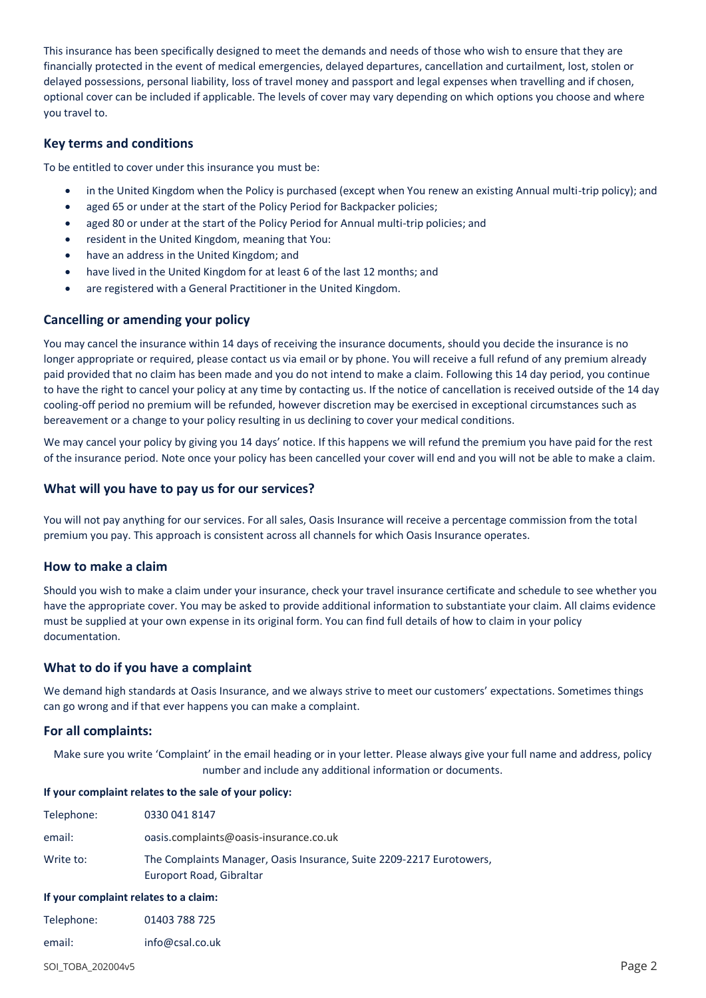This insurance has been specifically designed to meet the demands and needs of those who wish to ensure that they are financially protected in the event of medical emergencies, delayed departures, cancellation and curtailment, lost, stolen or delayed possessions, personal liability, loss of travel money and passport and legal expenses when travelling and if chosen, optional cover can be included if applicable. The levels of cover may vary depending on which options you choose and where you travel to.

#### **Key terms and conditions**

To be entitled to cover under this insurance you must be:

- in the United Kingdom when the Policy is purchased (except when You renew an existing Annual multi-trip policy); and
- aged 65 or under at the start of the Policy Period for Backpacker policies;
- aged 80 or under at the start of the Policy Period for Annual multi-trip policies; and
- resident in the United Kingdom, meaning that You:
- have an address in the United Kingdom; and
- have lived in the United Kingdom for at least 6 of the last 12 months; and
- are registered with a General Practitioner in the United Kingdom.

## **Cancelling or amending your policy**

You may cancel the insurance within 14 days of receiving the insurance documents, should you decide the insurance is no longer appropriate or required, please contact us via email or by phone. You will receive a full refund of any premium already paid provided that no claim has been made and you do not intend to make a claim. Following this 14 day period, you continue to have the right to cancel your policy at any time by contacting us. If the notice of cancellation is received outside of the 14 day cooling-off period no premium will be refunded, however discretion may be exercised in exceptional circumstances such as bereavement or a change to your policy resulting in us declining to cover your medical conditions.

We may cancel your policy by giving you 14 days' notice. If this happens we will refund the premium you have paid for the rest of the insurance period. Note once your policy has been cancelled your cover will end and you will not be able to make a claim.

#### **What will you have to pay us for our services?**

You will not pay anything for our services. For all sales, Oasis Insurance will receive a percentage commission from the total premium you pay. This approach is consistent across all channels for which Oasis Insurance operates.

#### **How to make a claim**

Should you wish to make a claim under your insurance, check your travel insurance certificate and schedule to see whether you have the appropriate cover. You may be asked to provide additional information to substantiate your claim. All claims evidence must be supplied at your own expense in its original form. You can find full details of how to claim in your policy documentation.

#### **What to do if you have a complaint**

We demand high standards at Oasis Insurance, and we always strive to meet our customers' expectations. Sometimes things can go wrong and if that ever happens you can make a complaint.

#### **For all complaints:**

Make sure you write 'Complaint' in the email heading or in your letter. Please always give your full name and address, policy number and include any additional information or documents.

#### **If your complaint relates to the sale of your policy:**

| Telephone: | 0330 041 8147                                                                                    |
|------------|--------------------------------------------------------------------------------------------------|
| email:     | oasis.complaints@oasis-insurance.co.uk                                                           |
| Write to:  | The Complaints Manager, Oasis Insurance, Suite 2209-2217 Eurotowers,<br>Europort Road, Gibraltar |
| - -        |                                                                                                  |

#### **If your complaint relates to a claim:**

| Telephone: | 01403 788 725 |
|------------|---------------|
|            |               |